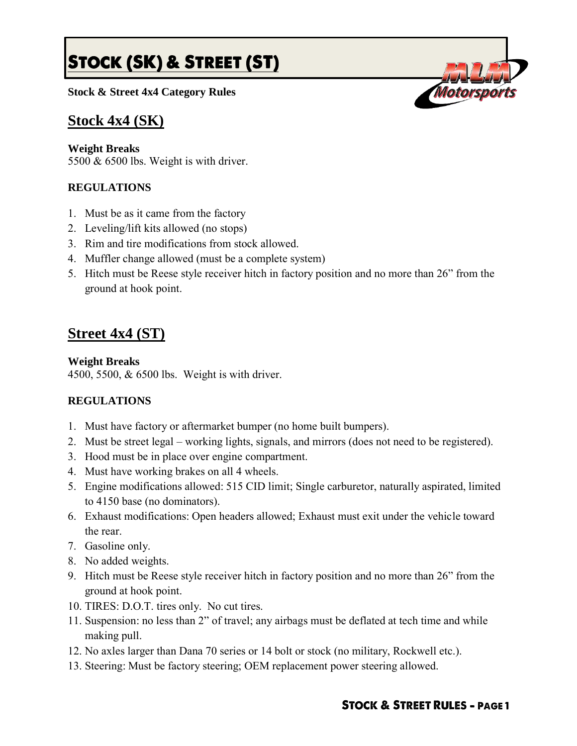# **STOCK (SK) & STREET (ST)**

**Stock & Street 4x4 Category Rules**

## **Stock 4x4 (SK)**

#### **Weight Breaks**

5500 & 6500 lbs. Weight is with driver.

### **REGULATIONS**

- 1. Must be as it came from the factory
- 2. Leveling/lift kits allowed (no stops)
- 3. Rim and tire modifications from stock allowed.
- 4. Muffler change allowed (must be a complete system)
- 5. Hitch must be Reese style receiver hitch in factory position and no more than 26" from the ground at hook point.

# **Street 4x4 (ST)**

#### **Weight Breaks**

4500, 5500, & 6500 lbs. Weight is with driver.

#### **REGULATIONS**

- 1. Must have factory or aftermarket bumper (no home built bumpers).
- 2. Must be street legal working lights, signals, and mirrors (does not need to be registered).
- 3. Hood must be in place over engine compartment.
- 4. Must have working brakes on all 4 wheels.
- 5. Engine modifications allowed: 515 CID limit; Single carburetor, naturally aspirated, limited to 4150 base (no dominators).
- 6. Exhaust modifications: Open headers allowed; Exhaust must exit under the vehicle toward the rear.
- 7. Gasoline only.
- 8. No added weights.
- 9. Hitch must be Reese style receiver hitch in factory position and no more than 26" from the ground at hook point.
- 10. TIRES: D.O.T. tires only. No cut tires.
- 11. Suspension: no less than 2" of travel; any airbags must be deflated at tech time and while making pull.
- 12. No axles larger than Dana 70 series or 14 bolt or stock (no military, Rockwell etc.).
- 13. Steering: Must be factory steering; OEM replacement power steering allowed.

#### **STOCK & STREET RULES - PAGE1**